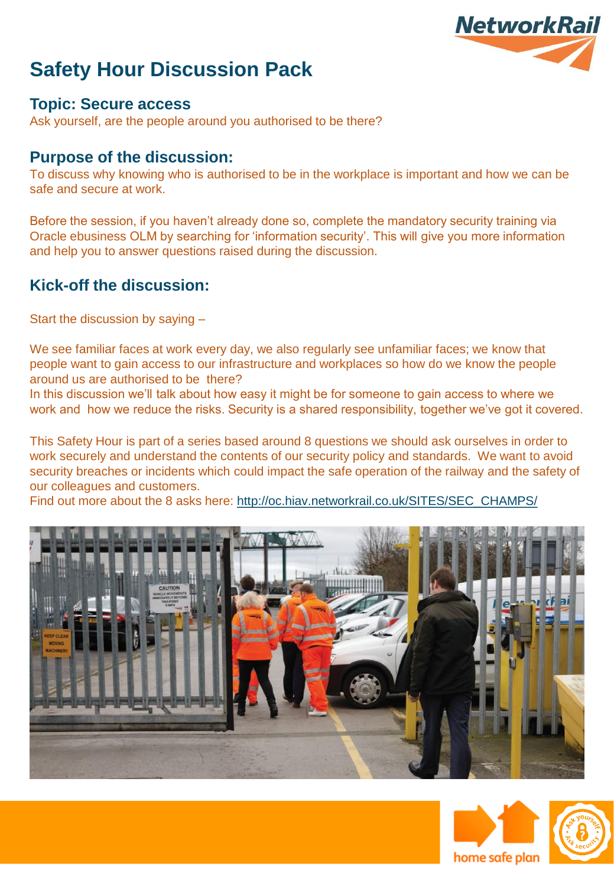

### **Topic: Secure access**

Ask yourself, are the people around you authorised to be there?

### **Purpose of the discussion:**

To discuss why knowing who is authorised to be in the workplace is important and how we can be safe and secure at work.

Before the session, if you haven't already done so, complete the mandatory security training via Oracle ebusiness OLM by searching for 'information security'. This will give you more information and help you to answer questions raised during the discussion.

## **Kick-off the discussion:**

Start the discussion by saying –

We see familiar faces at work every day, we also regularly see unfamiliar faces; we know that people want to gain access to our infrastructure and workplaces so how do we know the people around us are authorised to be there?

In this discussion we'll talk about how easy it might be for someone to gain access to where we work and how we reduce the risks. Security is a shared responsibility, together we've got it covered.

This Safety Hour is part of a series based around 8 questions we should ask ourselves in order to work securely and understand the contents of our security policy and standards. We want to avoid security breaches or incidents which could impact the safe operation of the railway and the safety of our colleagues and customers.

Find out more about the 8 asks here: [http://oc.hiav.networkrail.co.uk/SITES/SEC\\_CHAMPS/](http://oc.hiav.networkrail.co.uk/SITES/SEC_CHAMPS/)





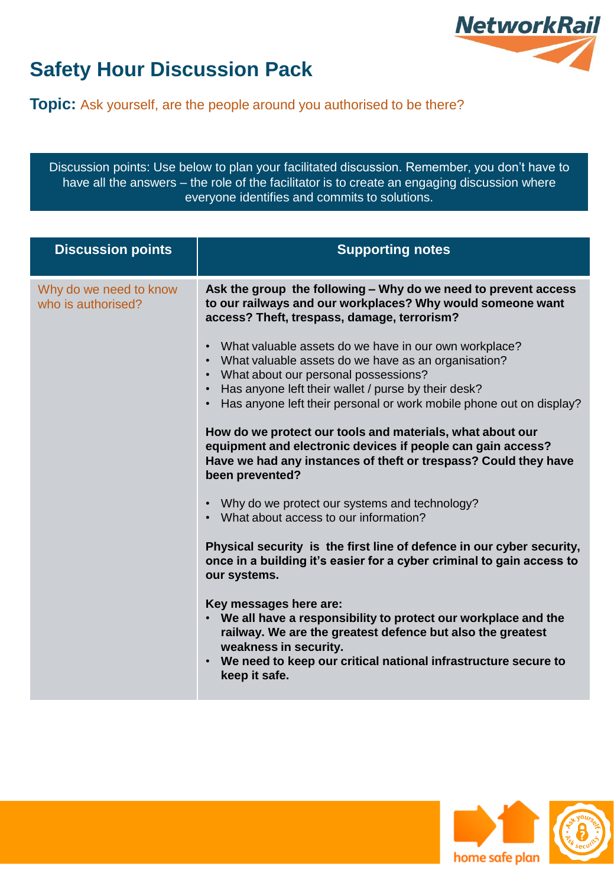

**Topic:** Ask yourself, are the people around you authorised to be there?

Discussion points: Use below to plan your facilitated discussion. Remember, you don't have to have all the answers – the role of the facilitator is to create an engaging discussion where everyone identifies and commits to solutions.

| <b>Discussion points</b>                     | <b>Supporting notes</b>                                                                                                                                                                                                                                                        |
|----------------------------------------------|--------------------------------------------------------------------------------------------------------------------------------------------------------------------------------------------------------------------------------------------------------------------------------|
| Why do we need to know<br>who is authorised? | Ask the group the following - Why do we need to prevent access<br>to our railways and our workplaces? Why would someone want<br>access? Theft, trespass, damage, terrorism?                                                                                                    |
|                                              | What valuable assets do we have in our own workplace?<br>$\bullet$<br>What valuable assets do we have as an organisation?<br>$\bullet$<br>What about our personal possessions?<br>$\bullet$<br>Has anyone left their wallet / purse by their desk?<br>$\bullet$                |
|                                              | Has anyone left their personal or work mobile phone out on display?                                                                                                                                                                                                            |
|                                              | How do we protect our tools and materials, what about our<br>equipment and electronic devices if people can gain access?<br>Have we had any instances of theft or trespass? Could they have<br>been prevented?                                                                 |
|                                              | Why do we protect our systems and technology?<br>$\bullet$<br>What about access to our information?                                                                                                                                                                            |
|                                              | Physical security is the first line of defence in our cyber security,<br>once in a building it's easier for a cyber criminal to gain access to<br>our systems.                                                                                                                 |
|                                              | Key messages here are:<br>We all have a responsibility to protect our workplace and the<br>railway. We are the greatest defence but also the greatest<br>weakness in security.<br>We need to keep our critical national infrastructure secure to<br>$\bullet$<br>keep it safe. |



/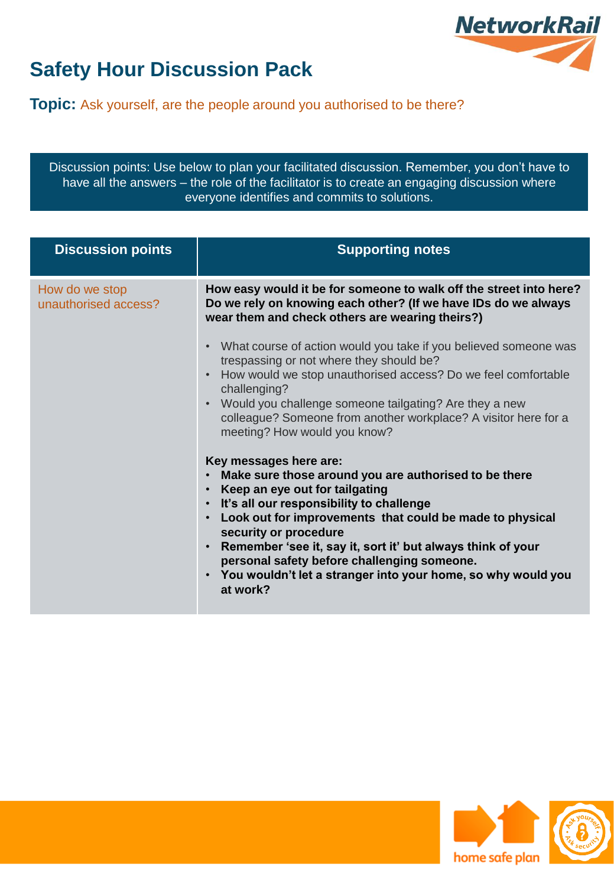

**Topic:** Ask yourself, are the people around you authorised to be there?

Discussion points: Use below to plan your facilitated discussion. Remember, you don't have to have all the answers – the role of the facilitator is to create an engaging discussion where everyone identifies and commits to solutions.

| <b>Discussion points</b>               | <b>Supporting notes</b>                                                                                                                                                                                                                                                                                                                                                                                                                                                                                                                                                                                                                                                                                                                                                                                                                                                                                                                                                                                                                                   |
|----------------------------------------|-----------------------------------------------------------------------------------------------------------------------------------------------------------------------------------------------------------------------------------------------------------------------------------------------------------------------------------------------------------------------------------------------------------------------------------------------------------------------------------------------------------------------------------------------------------------------------------------------------------------------------------------------------------------------------------------------------------------------------------------------------------------------------------------------------------------------------------------------------------------------------------------------------------------------------------------------------------------------------------------------------------------------------------------------------------|
| How do we stop<br>unauthorised access? | How easy would it be for someone to walk off the street into here?<br>Do we rely on knowing each other? (If we have IDs do we always<br>wear them and check others are wearing theirs?)<br>What course of action would you take if you believed someone was<br>$\bullet$<br>trespassing or not where they should be?<br>How would we stop unauthorised access? Do we feel comfortable<br>challenging?<br>Would you challenge someone tailgating? Are they a new<br>colleague? Someone from another workplace? A visitor here for a<br>meeting? How would you know?<br>Key messages here are:<br>Make sure those around you are authorised to be there<br>Keep an eye out for tailgating<br>$\bullet$<br>It's all our responsibility to challenge<br>$\bullet$<br>Look out for improvements that could be made to physical<br>security or procedure<br>Remember 'see it, say it, sort it' but always think of your<br>$\bullet$<br>personal safety before challenging someone.<br>You wouldn't let a stranger into your home, so why would you<br>at work? |



/